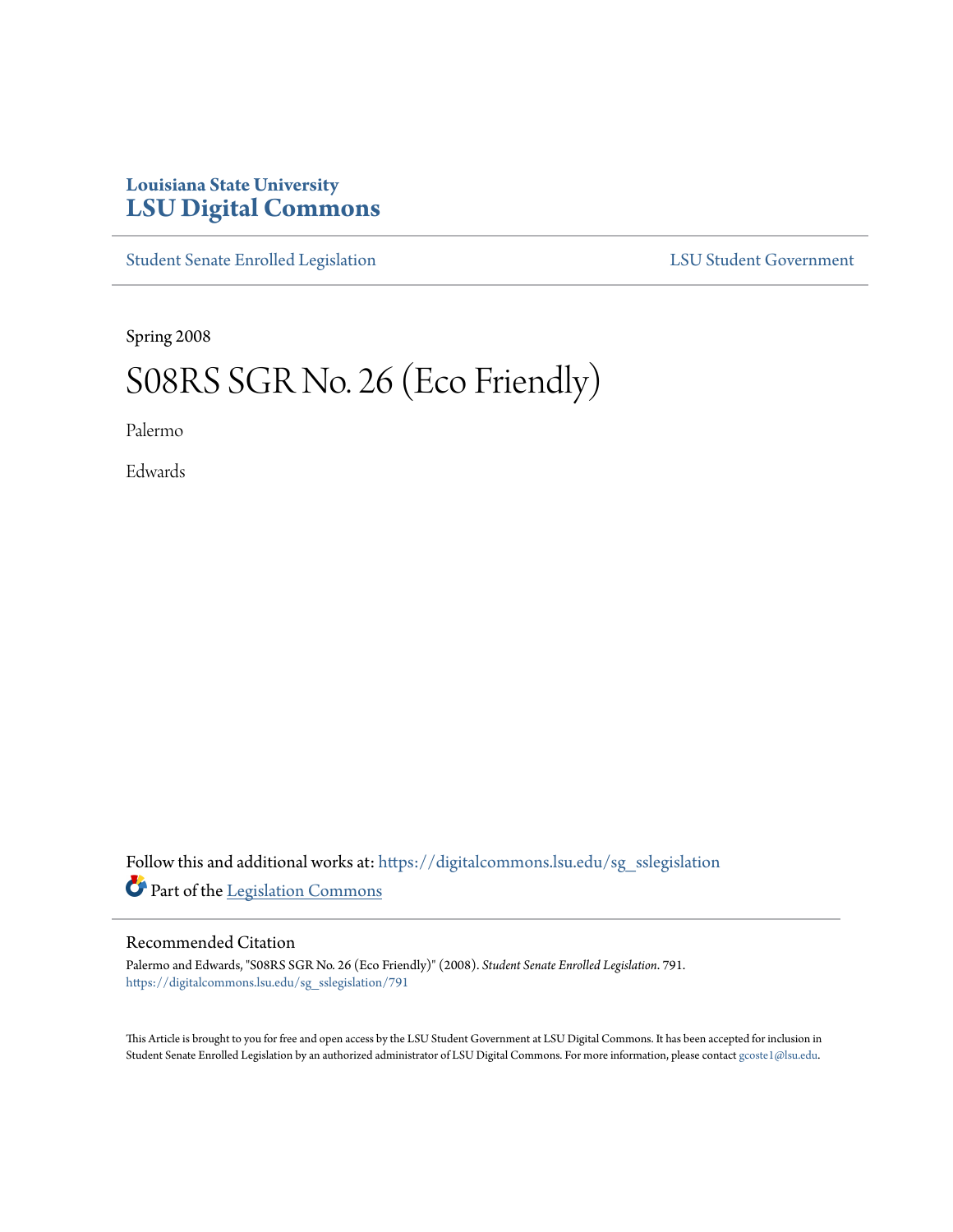## **Louisiana State University [LSU Digital Commons](https://digitalcommons.lsu.edu?utm_source=digitalcommons.lsu.edu%2Fsg_sslegislation%2F791&utm_medium=PDF&utm_campaign=PDFCoverPages)**

[Student Senate Enrolled Legislation](https://digitalcommons.lsu.edu/sg_sslegislation?utm_source=digitalcommons.lsu.edu%2Fsg_sslegislation%2F791&utm_medium=PDF&utm_campaign=PDFCoverPages) [LSU Student Government](https://digitalcommons.lsu.edu/sg?utm_source=digitalcommons.lsu.edu%2Fsg_sslegislation%2F791&utm_medium=PDF&utm_campaign=PDFCoverPages)

Spring 2008

## S08RS SGR No. 26 (Eco Friendly)

Palermo

Edwards

Follow this and additional works at: [https://digitalcommons.lsu.edu/sg\\_sslegislation](https://digitalcommons.lsu.edu/sg_sslegislation?utm_source=digitalcommons.lsu.edu%2Fsg_sslegislation%2F791&utm_medium=PDF&utm_campaign=PDFCoverPages) Part of the [Legislation Commons](http://network.bepress.com/hgg/discipline/859?utm_source=digitalcommons.lsu.edu%2Fsg_sslegislation%2F791&utm_medium=PDF&utm_campaign=PDFCoverPages)

## Recommended Citation

Palermo and Edwards, "S08RS SGR No. 26 (Eco Friendly)" (2008). *Student Senate Enrolled Legislation*. 791. [https://digitalcommons.lsu.edu/sg\\_sslegislation/791](https://digitalcommons.lsu.edu/sg_sslegislation/791?utm_source=digitalcommons.lsu.edu%2Fsg_sslegislation%2F791&utm_medium=PDF&utm_campaign=PDFCoverPages)

This Article is brought to you for free and open access by the LSU Student Government at LSU Digital Commons. It has been accepted for inclusion in Student Senate Enrolled Legislation by an authorized administrator of LSU Digital Commons. For more information, please contact [gcoste1@lsu.edu.](mailto:gcoste1@lsu.edu)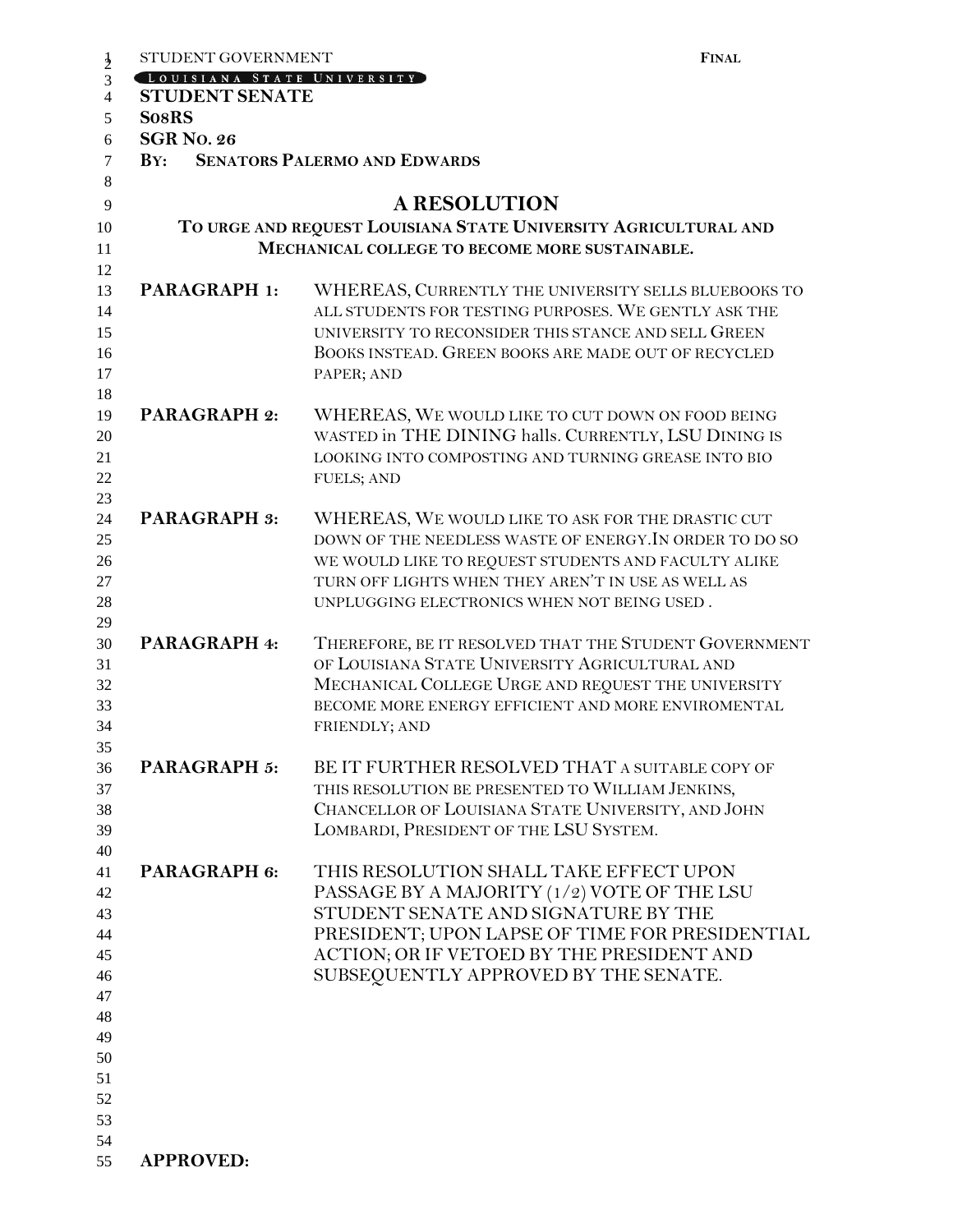| STUDENT GOVERNMENT                    | <b>FINAL</b>                                                                                              |
|---------------------------------------|-----------------------------------------------------------------------------------------------------------|
| LOUISIANA STATE UNIVERSITY            |                                                                                                           |
| <b>STUDENT SENATE</b><br><b>SosRS</b> |                                                                                                           |
| <b>SGR No. 26</b>                     |                                                                                                           |
| $\mathbf{B} \mathbf{Y}$ :             | <b>SENATORS PALERMO AND EDWARDS</b>                                                                       |
|                                       |                                                                                                           |
|                                       | <b>A RESOLUTION</b>                                                                                       |
|                                       | TO URGE AND REQUEST LOUISIANA STATE UNIVERSITY AGRICULTURAL AND                                           |
|                                       | MECHANICAL COLLEGE TO BECOME MORE SUSTAINABLE.                                                            |
|                                       |                                                                                                           |
| <b>PARAGRAPH 1:</b>                   | WHEREAS, CURRENTLY THE UNIVERSITY SELLS BLUEBOOKS TO                                                      |
|                                       | ALL STUDENTS FOR TESTING PURPOSES. WE GENTLY ASK THE                                                      |
|                                       | UNIVERSITY TO RECONSIDER THIS STANCE AND SELL GREEN                                                       |
|                                       | BOOKS INSTEAD. GREEN BOOKS ARE MADE OUT OF RECYCLED                                                       |
|                                       | PAPER; AND                                                                                                |
| <b>PARAGRAPH 2:</b>                   | WHEREAS, WE WOULD LIKE TO CUT DOWN ON FOOD BEING                                                          |
|                                       | WASTED in THE DINING halls. CURRENTLY, LSU DINING IS                                                      |
|                                       | LOOKING INTO COMPOSTING AND TURNING GREASE INTO BIO                                                       |
|                                       | <b>FUELS; AND</b>                                                                                         |
|                                       |                                                                                                           |
| <b>PARAGRAPH 3:</b>                   | WHEREAS, WE WOULD LIKE TO ASK FOR THE DRASTIC CUT                                                         |
|                                       | DOWN OF THE NEEDLESS WASTE OF ENERGY. IN ORDER TO DO SO                                                   |
|                                       | WE WOULD LIKE TO REQUEST STUDENTS AND FACULTY ALIKE<br>TURN OFF LIGHTS WHEN THEY AREN'T IN USE AS WELL AS |
|                                       |                                                                                                           |
|                                       | UNPLUGGING ELECTRONICS WHEN NOT BEING USED.                                                               |
| PARAGRAPH 4:                          | THEREFORE, BE IT RESOLVED THAT THE STUDENT GOVERNMENT                                                     |
|                                       | OF LOUISIANA STATE UNIVERSITY AGRICULTURAL AND                                                            |
|                                       | MECHANICAL COLLEGE URGE AND REQUEST THE UNIVERSITY                                                        |
|                                       | BECOME MORE ENERGY EFFICIENT AND MORE ENVIROMENTAL                                                        |
|                                       | FRIENDLY; AND                                                                                             |
| <b>PARAGRAPH 5:</b>                   | BE IT FURTHER RESOLVED THAT A SUITABLE COPY OF                                                            |
|                                       | THIS RESOLUTION BE PRESENTED TO WILLIAM JENKINS,                                                          |
|                                       | CHANCELLOR OF LOUISIANA STATE UNIVERSITY, AND JOHN                                                        |
|                                       | LOMBARDI, PRESIDENT OF THE LSU SYSTEM.                                                                    |
|                                       |                                                                                                           |
| PARAGRAPH 6:                          | THIS RESOLUTION SHALL TAKE EFFECT UPON                                                                    |
|                                       | PASSAGE BY A MAJORITY (1/2) VOTE OF THE LSU                                                               |
|                                       | STUDENT SENATE AND SIGNATURE BY THE                                                                       |
|                                       | PRESIDENT; UPON LAPSE OF TIME FOR PRESIDENTIAL                                                            |
|                                       | ACTION; OR IF VETOED BY THE PRESIDENT AND<br>SUBSEQUENTLY APPROVED BY THE SENATE.                         |
|                                       |                                                                                                           |
|                                       |                                                                                                           |
|                                       |                                                                                                           |
|                                       |                                                                                                           |
|                                       |                                                                                                           |
|                                       |                                                                                                           |
|                                       |                                                                                                           |
|                                       |                                                                                                           |
| <b>APPROVED:</b>                      |                                                                                                           |